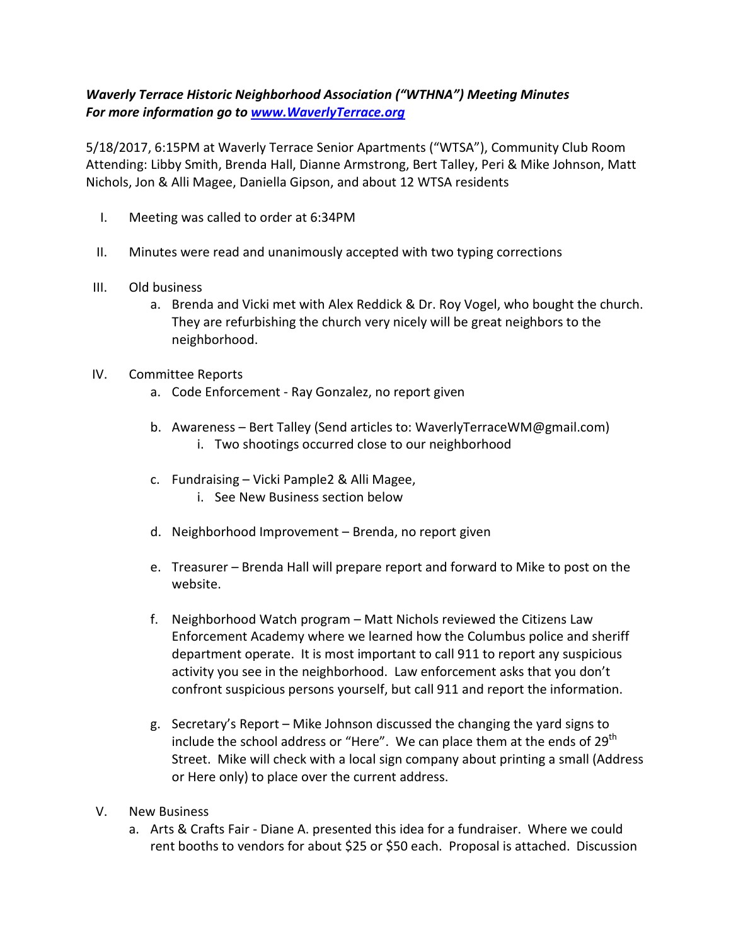## Waverly Terrace Historic Neighborhood Association ("WTHNA") Meeting Minutes For more information go to www.WaverlyTerrace.org

5/18/2017, 6:15PM at Waverly Terrace Senior Apartments ("WTSA"), Community Club Room Attending: Libby Smith, Brenda Hall, Dianne Armstrong, Bert Talley, Peri & Mike Johnson, Matt Nichols, Jon & Alli Magee, Daniella Gipson, and about 12 WTSA residents

- I. Meeting was called to order at 6:34PM
- II. Minutes were read and unanimously accepted with two typing corrections
- III. Old business
	- a. Brenda and Vicki met with Alex Reddick & Dr. Roy Vogel, who bought the church. They are refurbishing the church very nicely will be great neighbors to the neighborhood.
- IV. Committee Reports
	- a. Code Enforcement Ray Gonzalez, no report given
	- b. Awareness Bert Talley (Send articles to: WaverlyTerraceWM@gmail.com) i. Two shootings occurred close to our neighborhood
	- c. Fundraising Vicki Pample2 & Alli Magee,
		- i. See New Business section below
	- d. Neighborhood Improvement Brenda, no report given
	- e. Treasurer Brenda Hall will prepare report and forward to Mike to post on the website.
	- f. Neighborhood Watch program Matt Nichols reviewed the Citizens Law Enforcement Academy where we learned how the Columbus police and sheriff department operate. It is most important to call 911 to report any suspicious activity you see in the neighborhood. Law enforcement asks that you don't confront suspicious persons yourself, but call 911 and report the information.
	- g. Secretary's Report Mike Johnson discussed the changing the yard signs to include the school address or "Here". We can place them at the ends of  $29<sup>th</sup>$ Street. Mike will check with a local sign company about printing a small (Address or Here only) to place over the current address.
- V. New Business
	- a. Arts & Crafts Fair Diane A. presented this idea for a fundraiser. Where we could rent booths to vendors for about \$25 or \$50 each. Proposal is attached. Discussion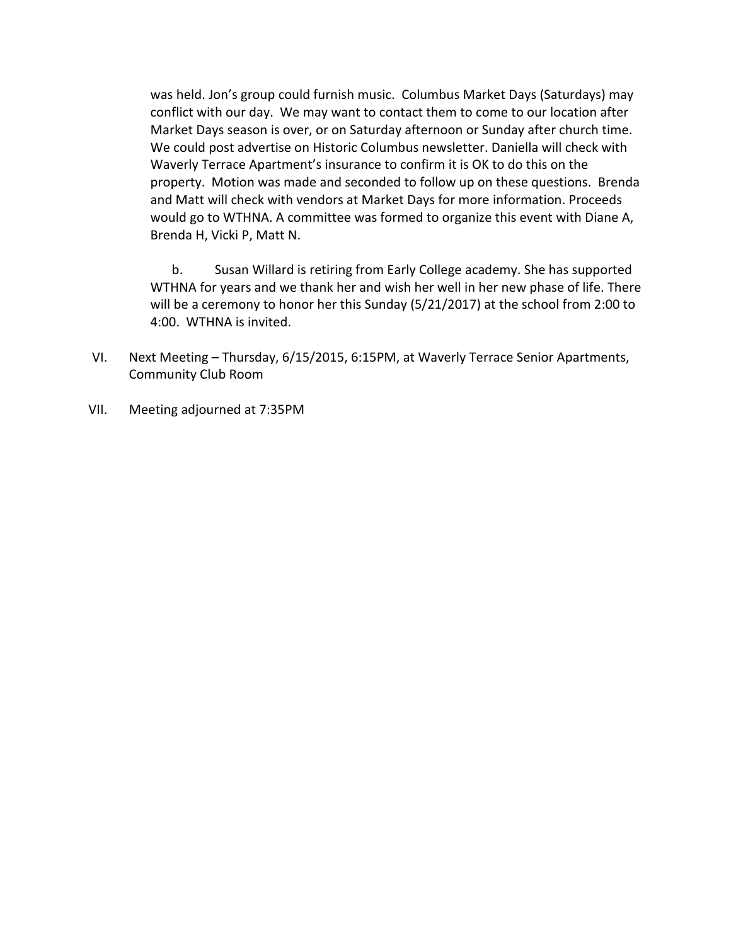was held. Jon's group could furnish music. Columbus Market Days (Saturdays) may conflict with our day. We may want to contact them to come to our location after Market Days season is over, or on Saturday afternoon or Sunday after church time. We could post advertise on Historic Columbus newsletter. Daniella will check with Waverly Terrace Apartment's insurance to confirm it is OK to do this on the property. Motion was made and seconded to follow up on these questions. Brenda and Matt will check with vendors at Market Days for more information. Proceeds would go to WTHNA. A committee was formed to organize this event with Diane A, Brenda H, Vicki P, Matt N.

b. Susan Willard is retiring from Early College academy. She has supported WTHNA for years and we thank her and wish her well in her new phase of life. There will be a ceremony to honor her this Sunday (5/21/2017) at the school from 2:00 to 4:00. WTHNA is invited.

- VI. Next Meeting Thursday, 6/15/2015, 6:15PM, at Waverly Terrace Senior Apartments, Community Club Room
- VII. Meeting adjourned at 7:35PM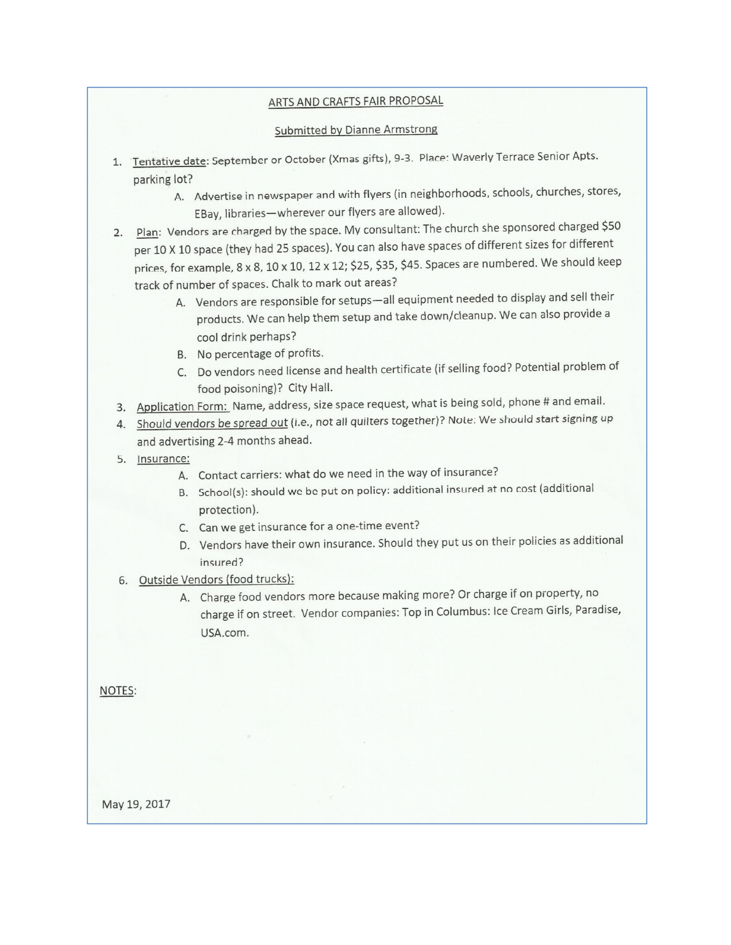## ARTS AND CRAFTS FAIR PROPOSAL

## **Submitted by Dianne Armstrong**

- 1. Tentative date: September or October (Xmas gifts), 9-3. Place: Waverly Terrace Senior Apts. parking lot?
	- A. Advertise in newspaper and with flyers (in neighborhoods, schools, churches, stores, EBay, libraries-wherever our flyers are allowed).
- 2. Plan: Vendors are charged by the space. My consultant: The church she sponsored charged \$50 per 10 X 10 space (they had 25 spaces). You can also have spaces of different sizes for different prices, for example, 8 x 8, 10 x 10, 12 x 12; \$25, \$35, \$45. Spaces are numbered. We should keep track of number of spaces. Chalk to mark out areas?
	- A. Vendors are responsible for setups-all equipment needed to display and sell their products. We can help them setup and take down/cleanup. We can also provide a cool drink perhaps?
	- B. No percentage of profits.
	- C. Do vendors need license and health certificate (if selling food? Potential problem of food poisoning)? City Hall.
- 3. Application Form: Name, address, size space request, what is being sold, phone # and email.
- 4. Should vendors be spread out (i.e., not all quilters together)? Note: We should start signing up and advertising 2-4 months ahead.
- 5. Insurance:
	- A. Contact carriers: what do we need in the way of insurance?
	- B. School(s): should we be put on policy: additional insured at no cost (additional protection).
	- C. Can we get insurance for a one-time event?
	- D. Vendors have their own insurance. Should they put us on their policies as additional insured?
- 6. Outside Vendors (food trucks):
	- A. Charge food vendors more because making more? Or charge if on property, no charge if on street. Vendor companies: Top in Columbus: Ice Cream Girls, Paradise, USA.com.

NOTES:

May 19, 2017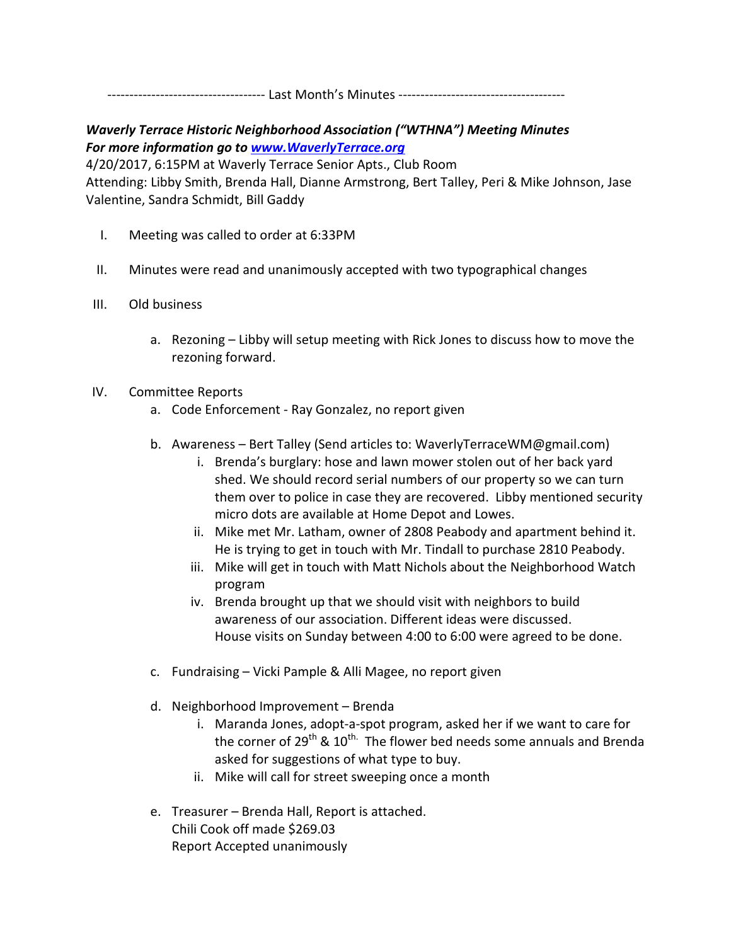------------------------------------ Last Month's Minutes --------------------------------------

## Waverly Terrace Historic Neighborhood Association ("WTHNA") Meeting Minutes For more information go to www.WaverlyTerrace.org

4/20/2017, 6:15PM at Waverly Terrace Senior Apts., Club Room

Attending: Libby Smith, Brenda Hall, Dianne Armstrong, Bert Talley, Peri & Mike Johnson, Jase Valentine, Sandra Schmidt, Bill Gaddy

- I. Meeting was called to order at 6:33PM
- II. Minutes were read and unanimously accepted with two typographical changes
- III. Old business
	- a. Rezoning Libby will setup meeting with Rick Jones to discuss how to move the rezoning forward.
- IV. Committee Reports
	- a. Code Enforcement Ray Gonzalez, no report given
	- b. Awareness Bert Talley (Send articles to: WaverlyTerraceWM@gmail.com)
		- i. Brenda's burglary: hose and lawn mower stolen out of her back yard shed. We should record serial numbers of our property so we can turn them over to police in case they are recovered. Libby mentioned security micro dots are available at Home Depot and Lowes.
		- ii. Mike met Mr. Latham, owner of 2808 Peabody and apartment behind it. He is trying to get in touch with Mr. Tindall to purchase 2810 Peabody.
		- iii. Mike will get in touch with Matt Nichols about the Neighborhood Watch program
		- iv. Brenda brought up that we should visit with neighbors to build awareness of our association. Different ideas were discussed. House visits on Sunday between 4:00 to 6:00 were agreed to be done.
	- c. Fundraising Vicki Pample & Alli Magee, no report given
	- d. Neighborhood Improvement Brenda
		- i. Maranda Jones, adopt-a-spot program, asked her if we want to care for the corner of  $29^{th}$  &  $10^{th}$ . The flower bed needs some annuals and Brenda asked for suggestions of what type to buy.
		- ii. Mike will call for street sweeping once a month
	- e. Treasurer Brenda Hall, Report is attached. Chili Cook off made \$269.03 Report Accepted unanimously